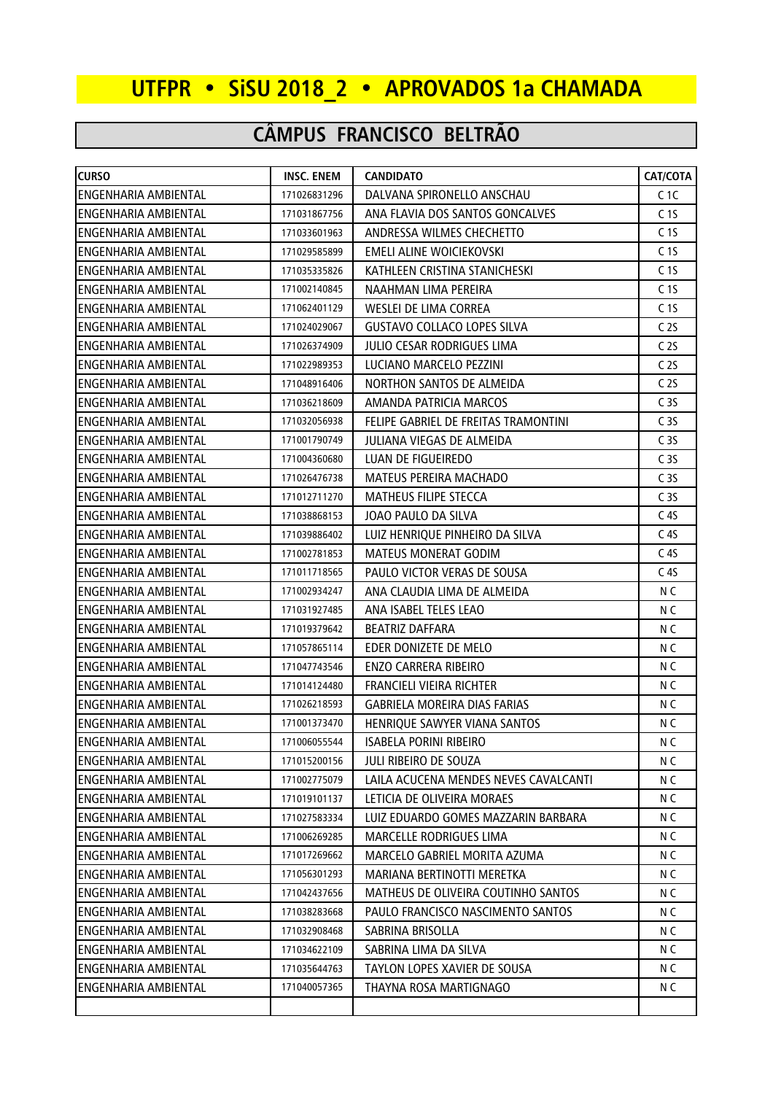## **UTFPR • SiSU 2018\_2 • APROVADOS 1a CHAMADA**

## **CÂMPUS FRANCISCO BELTRÃO**

| <b>CURSO</b>                | <b>INSC. ENEM</b> | <b>CANDIDATO</b>                           | CAT/COTA         |
|-----------------------------|-------------------|--------------------------------------------|------------------|
| ENGENHARIA AMBIENTAL        | 171026831296      | DALVANA SPIRONELLO ANSCHAU                 | C <sub>1</sub> C |
| ENGENHARIA AMBIENTAL        | 171031867756      | ANA FLAVIA DOS SANTOS GONCALVES            | C <sub>15</sub>  |
| ENGENHARIA AMBIENTAL        | 171033601963      | ANDRESSA WILMES CHECHETTO                  | C <sub>15</sub>  |
| ENGENHARIA AMBIENTAL        | 171029585899      | EMELI ALINE WOICIEKOVSKI                   | C <sub>15</sub>  |
| ENGENHARIA AMBIENTAL        | 171035335826      | KATHLEEN CRISTINA STANICHESKI              | C <sub>1</sub> S |
| ENGENHARIA AMBIENTAL        | 171002140845      | NAAHMAN LIMA PEREIRA                       | C <sub>15</sub>  |
| ENGENHARIA AMBIENTAL        | 171062401129      | WESLEI DE LIMA CORREA                      | C <sub>15</sub>  |
| ENGENHARIA AMBIENTAL        | 171024029067      | <b>GUSTAVO COLLACO LOPES SILVA</b>         | C <sub>25</sub>  |
| ENGENHARIA AMBIENTAL        | 171026374909      | JULIO CESAR RODRIGUES LIMA                 | C <sub>25</sub>  |
| ENGENHARIA AMBIENTAL        | 171022989353      | LUCIANO MARCELO PEZZINI                    | C <sub>2S</sub>  |
| ENGENHARIA AMBIENTAL        | 171048916406      | NORTHON SANTOS DE ALMEIDA                  | C <sub>25</sub>  |
| ENGENHARIA AMBIENTAL        | 171036218609      | AMANDA PATRICIA MARCOS                     | C <sub>35</sub>  |
| <b>ENGENHARIA AMBIENTAL</b> | 171032056938      | FELIPE GABRIEL DE FREITAS TRAMONTINI       | C <sub>35</sub>  |
| <b>ENGENHARIA AMBIENTAL</b> | 171001790749      | <b>JULIANA VIEGAS DE ALMEIDA</b>           | C <sub>35</sub>  |
| ENGENHARIA AMBIENTAL        | 171004360680      | LUAN DE FIGUEIREDO                         | C <sub>35</sub>  |
| ENGENHARIA AMBIENTAL        | 171026476738      | <b>MATEUS PEREIRA MACHADO</b>              | C <sub>35</sub>  |
| ENGENHARIA AMBIENTAL        | 171012711270      | <b>MATHEUS FILIPE STECCA</b>               | C <sub>3</sub> S |
| ENGENHARIA AMBIENTAL        | 171038868153      | JOAO PAULO DA SILVA                        | C <sub>4S</sub>  |
| ENGENHARIA AMBIENTAL        | 171039886402      | LUIZ HENRIQUE PINHEIRO DA SILVA            | C <sub>4S</sub>  |
| ENGENHARIA AMBIENTAL        | 171002781853      | <b>MATEUS MONERAT GODIM</b>                | C <sub>4S</sub>  |
| <b>ENGENHARIA AMBIENTAL</b> | 171011718565      | PAULO VICTOR VERAS DE SOUSA                | C <sub>45</sub>  |
| ENGENHARIA AMBIENTAL        | 171002934247      | ANA CLAUDIA LIMA DE ALMEIDA                | N C              |
| ENGENHARIA AMBIENTAL        | 171031927485      | ANA ISABEL TELES LEAO                      | N C              |
| ENGENHARIA AMBIENTAL        | 171019379642      | <b>BEATRIZ DAFFARA</b>                     | N C              |
| ENGENHARIA AMBIENTAL        | 171057865114      | EDER DONIZETE DE MELO                      | N <sub>C</sub>   |
| ENGENHARIA AMBIENTAL        | 171047743546      | <b>ENZO CARRERA RIBEIRO</b>                | N C              |
| ENGENHARIA AMBIENTAL        | 171014124480      | FRANCIELI VIEIRA RICHTER                   | N C              |
| <b>ENGENHARIA AMBIENTAL</b> | 171026218593      | <b>GABRIELA MOREIRA DIAS FARIAS</b>        | N C              |
| ENGENHARIA AMBIENTAL        | 171001373470      | HENRIQUE SAWYER VIANA SANTOS               | N C              |
| <b>ENGENHARIA AMBIENTAL</b> | 171006055544      | ISABELA PORINI RIBEIRO                     | N C              |
| IENGENHARIA AMBIENTAL       | 171015200156      | JULI RIBEIRO DE SOUZA                      | N C              |
| IENGENHARIA AMBIENTAL       | 171002775079      | LAILA ACUCENA MENDES NEVES CAVALCANTI      | N C              |
| ENGENHARIA AMBIENTAL        | 171019101137      | LETICIA DE OLIVEIRA MORAES                 | N C              |
| ENGENHARIA AMBIENTAL        | 171027583334      | LUIZ EDUARDO GOMES MAZZARIN BARBARA        | N C              |
| ENGENHARIA AMBIENTAL        | 171006269285      | <b>MARCELLE RODRIGUES LIMA</b>             | N C              |
| <b>ENGENHARIA AMBIENTAL</b> | 171017269662      | MARCELO GABRIEL MORITA AZUMA               | N C              |
| ENGENHARIA AMBIENTAL        | 171056301293      | MARIANA BERTINOTTI MERETKA                 | N C              |
| ENGENHARIA AMBIENTAL        | 171042437656      | <b>MATHEUS DE OLIVEIRA COUTINHO SANTOS</b> | N C              |
| ENGENHARIA AMBIENTAL        | 171038283668      | PAULO FRANCISCO NASCIMENTO SANTOS          | N C              |
| <b>ENGENHARIA AMBIENTAL</b> | 171032908468      | SABRINA BRISOLLA                           | N C              |
| <b>ENGENHARIA AMBIENTAL</b> | 171034622109      | SABRINA LIMA DA SILVA                      | N C              |
| ENGENHARIA AMBIENTAL        | 171035644763      | TAYLON LOPES XAVIER DE SOUSA               | N C              |
| <b>ENGENHARIA AMBIENTAL</b> | 171040057365      | THAYNA ROSA MARTIGNAGO                     | N C              |
|                             |                   |                                            |                  |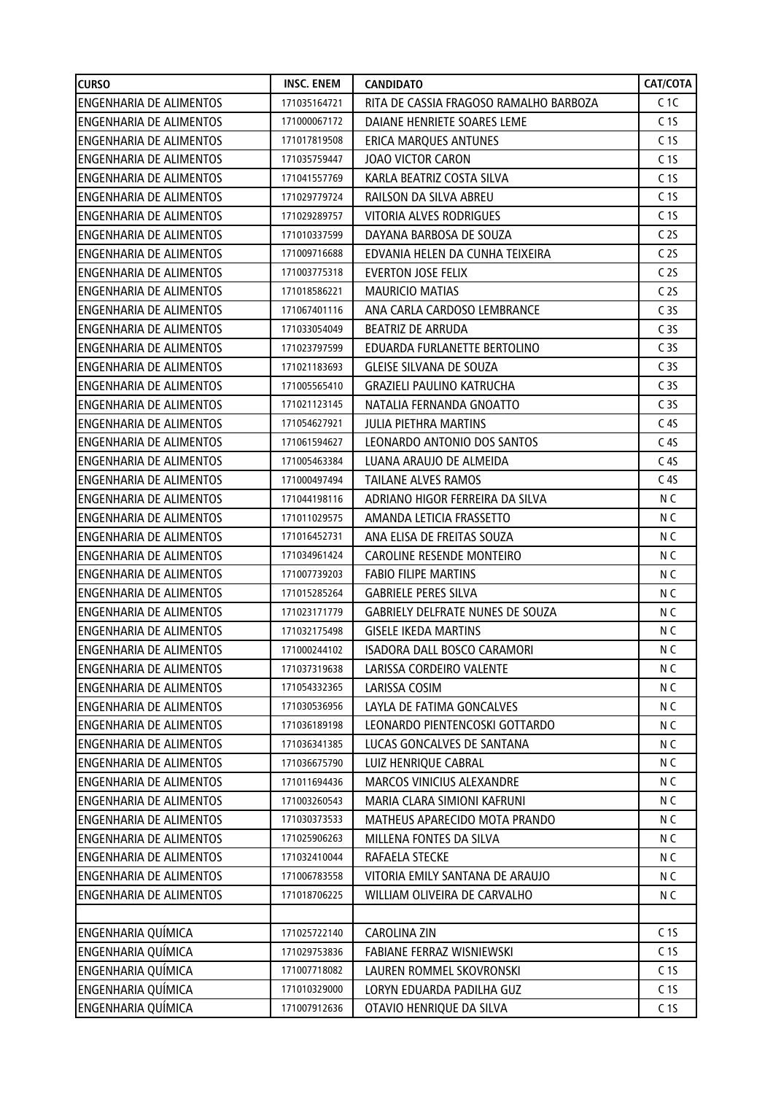| <b>CURSO</b>                   | <b>INSC. ENEM</b> | <b>CANDIDATO</b>                       | CAT/COTA        |
|--------------------------------|-------------------|----------------------------------------|-----------------|
| <b>ENGENHARIA DE ALIMENTOS</b> | 171035164721      | RITA DE CASSIA FRAGOSO RAMALHO BARBOZA | C <sub>1C</sub> |
| <b>ENGENHARIA DE ALIMENTOS</b> | 171000067172      | DAIANE HENRIETE SOARES LEME            | C <sub>15</sub> |
| <b>ENGENHARIA DE ALIMENTOS</b> | 171017819508      | <b>ERICA MARQUES ANTUNES</b>           | C <sub>15</sub> |
| <b>ENGENHARIA DE ALIMENTOS</b> | 171035759447      | <b>JOAO VICTOR CARON</b>               | C <sub>15</sub> |
| <b>ENGENHARIA DE ALIMENTOS</b> | 171041557769      | KARLA BEATRIZ COSTA SILVA              | C <sub>15</sub> |
| <b>ENGENHARIA DE ALIMENTOS</b> | 171029779724      | RAILSON DA SILVA ABREU                 | C <sub>15</sub> |
| <b>ENGENHARIA DE ALIMENTOS</b> | 171029289757      | <b>VITORIA ALVES RODRIGUES</b>         | C <sub>15</sub> |
| <b>ENGENHARIA DE ALIMENTOS</b> | 171010337599      | DAYANA BARBOSA DE SOUZA                | C <sub>2S</sub> |
| <b>ENGENHARIA DE ALIMENTOS</b> | 171009716688      | EDVANIA HELEN DA CUNHA TEIXEIRA        | C <sub>25</sub> |
| <b>ENGENHARIA DE ALIMENTOS</b> | 171003775318      | <b>EVERTON JOSE FELIX</b>              | C <sub>25</sub> |
| <b>ENGENHARIA DE ALIMENTOS</b> | 171018586221      | <b>MAURICIO MATIAS</b>                 | C <sub>2S</sub> |
| <b>ENGENHARIA DE ALIMENTOS</b> | 171067401116      | ANA CARLA CARDOSO LEMBRANCE            | C <sub>35</sub> |
| <b>ENGENHARIA DE ALIMENTOS</b> | 171033054049      | <b>BEATRIZ DE ARRUDA</b>               | C <sub>35</sub> |
| <b>ENGENHARIA DE ALIMENTOS</b> | 171023797599      | EDUARDA FURLANETTE BERTOLINO           | C <sub>35</sub> |
| <b>ENGENHARIA DE ALIMENTOS</b> | 171021183693      | <b>GLEISE SILVANA DE SOUZA</b>         | C <sub>35</sub> |
| <b>ENGENHARIA DE ALIMENTOS</b> | 171005565410      | <b>GRAZIELI PAULINO KATRUCHA</b>       | C <sub>35</sub> |
| <b>ENGENHARIA DE ALIMENTOS</b> | 171021123145      | NATALIA FERNANDA GNOATTO               | C <sub>35</sub> |
| <b>ENGENHARIA DE ALIMENTOS</b> | 171054627921      | <b>JULIA PIETHRA MARTINS</b>           | C <sub>4S</sub> |
| <b>ENGENHARIA DE ALIMENTOS</b> | 171061594627      | LEONARDO ANTONIO DOS SANTOS            | C <sub>4S</sub> |
| <b>ENGENHARIA DE ALIMENTOS</b> | 171005463384      | LUANA ARAUJO DE ALMEIDA                | C <sub>45</sub> |
| <b>ENGENHARIA DE ALIMENTOS</b> | 171000497494      | <b>TAILANE ALVES RAMOS</b>             | C <sub>45</sub> |
| <b>ENGENHARIA DE ALIMENTOS</b> | 171044198116      | ADRIANO HIGOR FERREIRA DA SILVA        | N C             |
| <b>ENGENHARIA DE ALIMENTOS</b> | 171011029575      | AMANDA LETICIA FRASSETTO               | N C             |
| <b>ENGENHARIA DE ALIMENTOS</b> | 171016452731      | ANA ELISA DE FREITAS SOUZA             | N C             |
| <b>ENGENHARIA DE ALIMENTOS</b> | 171034961424      | CAROLINE RESENDE MONTEIRO              | N C             |
| <b>ENGENHARIA DE ALIMENTOS</b> | 171007739203      | <b>FABIO FILIPE MARTINS</b>            | N C             |
| <b>ENGENHARIA DE ALIMENTOS</b> | 171015285264      | <b>GABRIELE PERES SILVA</b>            | N C             |
| <b>ENGENHARIA DE ALIMENTOS</b> | 171023171779      | GABRIELY DELFRATE NUNES DE SOUZA       | N C             |
| <b>ENGENHARIA DE ALIMENTOS</b> | 171032175498      | <b>GISELE IKEDA MARTINS</b>            | N C             |
| <b>ENGENHARIA DE ALIMENTOS</b> | 171000244102      | ISADORA DALL BOSCO CARAMORI            | N <sub>C</sub>  |
| <b>ENGENHARIA DE ALIMENTOS</b> | 171037319638      | LARISSA CORDEIRO VALENTE               | N C             |
| <b>ENGENHARIA DE ALIMENTOS</b> | 171054332365      | LARISSA COSIM                          | N C             |
| <b>ENGENHARIA DE ALIMENTOS</b> | 171030536956      | LAYLA DE FATIMA GONCALVES              | N C             |
| <b>ENGENHARIA DE ALIMENTOS</b> | 171036189198      | LEONARDO PIENTENCOSKI GOTTARDO         | N C             |
| <b>ENGENHARIA DE ALIMENTOS</b> | 171036341385      | LUCAS GONCALVES DE SANTANA             | N C             |
| <b>ENGENHARIA DE ALIMENTOS</b> | 171036675790      | LUIZ HENRIQUE CABRAL                   | N C             |
| <b>ENGENHARIA DE ALIMENTOS</b> | 171011694436      | MARCOS VINICIUS ALEXANDRE              | N C             |
| <b>ENGENHARIA DE ALIMENTOS</b> | 171003260543      | MARIA CLARA SIMIONI KAFRUNI            | N C             |
| <b>ENGENHARIA DE ALIMENTOS</b> | 171030373533      | MATHEUS APARECIDO MOTA PRANDO          | N C             |
| <b>ENGENHARIA DE ALIMENTOS</b> | 171025906263      | MILLENA FONTES DA SILVA                | N C             |
| <b>ENGENHARIA DE ALIMENTOS</b> | 171032410044      | RAFAELA STECKE                         | N C             |
| ENGENHARIA DE ALIMENTOS        | 171006783558      | VITORIA EMILY SANTANA DE ARAUJO        | N C             |
| ENGENHARIA DE ALIMENTOS        | 171018706225      | WILLIAM OLIVEIRA DE CARVALHO           | N C             |
|                                |                   |                                        |                 |
| <b>ENGENHARIA QUÍMICA</b>      | 171025722140      | <b>CAROLINA ZIN</b>                    | C <sub>15</sub> |
| ENGENHARIA QUÍMICA             | 171029753836      | FABIANE FERRAZ WISNIEWSKI              | C <sub>15</sub> |
| <b>ENGENHARIA QUÍMICA</b>      | 171007718082      | LAUREN ROMMEL SKOVRONSKI               | C <sub>15</sub> |
| ENGENHARIA QUÍMICA             | 171010329000      | LORYN EDUARDA PADILHA GUZ              | C <sub>15</sub> |
| ENGENHARIA QUÍMICA             | 171007912636      | OTAVIO HENRIQUE DA SILVA               | C <sub>15</sub> |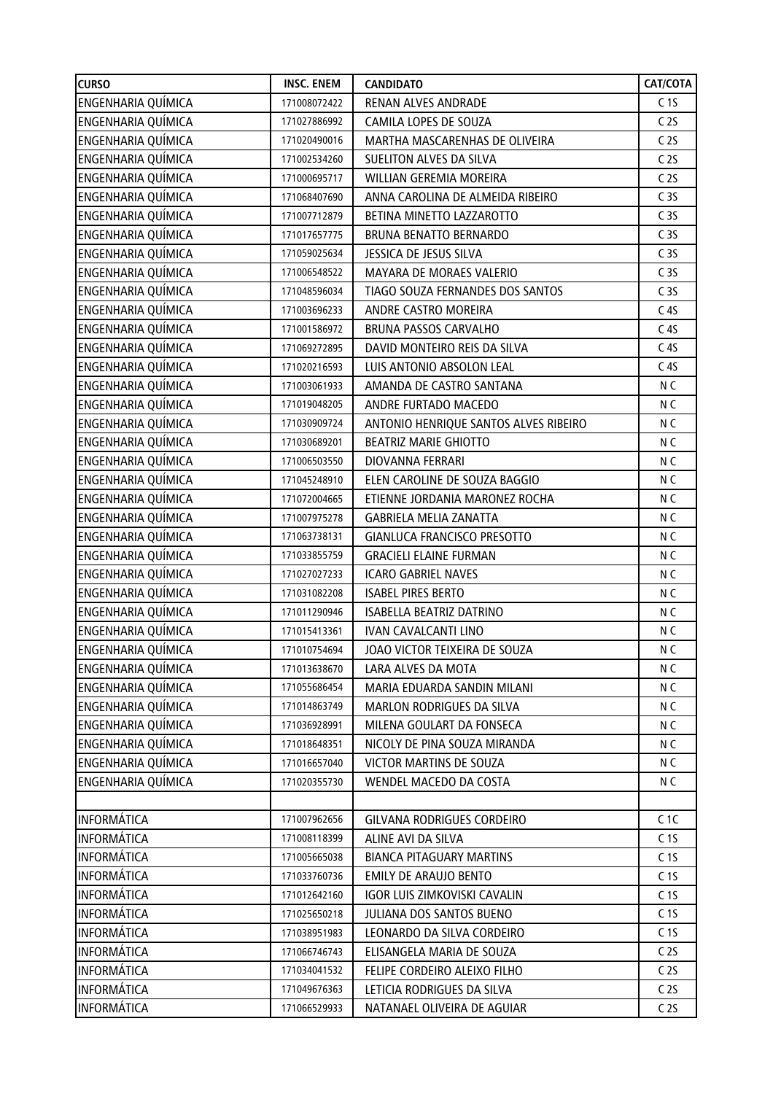| <b>CURSO</b>              | <b>INSC. ENEM</b> | <b>CANDIDATO</b>                      | CAT/COTA        |
|---------------------------|-------------------|---------------------------------------|-----------------|
| ENGENHARIA QUÍMICA        | 171008072422      | RENAN ALVES ANDRADE                   | C <sub>15</sub> |
| ENGENHARIA QUÍMICA        | 171027886992      | CAMILA LOPES DE SOUZA                 | C <sub>25</sub> |
| ENGENHARIA QUÍMICA        | 171020490016      | MARTHA MASCARENHAS DE OLIVEIRA        | C <sub>25</sub> |
| ENGENHARIA QUÍMICA        | 171002534260      | SUELITON ALVES DA SILVA               | C <sub>25</sub> |
| ENGENHARIA QUÍMICA        | 171000695717      | WILLIAN GEREMIA MOREIRA               | C <sub>25</sub> |
| ENGENHARIA QUÍMICA        | 171068407690      | ANNA CAROLINA DE ALMEIDA RIBEIRO      | C <sub>35</sub> |
| ENGENHARIA QUÍMICA        | 171007712879      | BETINA MINETTO LAZZAROTTO             | C <sub>35</sub> |
| ENGENHARIA QUÍMICA        | 171017657775      | <b>BRUNA BENATTO BERNARDO</b>         | C <sub>35</sub> |
| ENGENHARIA QUÍMICA        | 171059025634      | JESSICA DE JESUS SILVA                | C <sub>35</sub> |
| ENGENHARIA QUÍMICA        | 171006548522      | MAYARA DE MORAES VALERIO              | C <sub>35</sub> |
| ENGENHARIA QUÍMICA        | 171048596034      | TIAGO SOUZA FERNANDES DOS SANTOS      | C <sub>35</sub> |
| ENGENHARIA QUÍMICA        | 171003696233      | ANDRE CASTRO MOREIRA                  | C <sub>45</sub> |
| ENGENHARIA QUÍMICA        | 171001586972      | <b>BRUNA PASSOS CARVALHO</b>          | C <sub>4S</sub> |
| ENGENHARIA QUÍMICA        | 171069272895      | DAVID MONTEIRO REIS DA SILVA          | C <sub>45</sub> |
| ENGENHARIA QUÍMICA        | 171020216593      | LUIS ANTONIO ABSOLON LEAL             | C <sub>45</sub> |
| ENGENHARIA QUÍMICA        | 171003061933      | AMANDA DE CASTRO SANTANA              | N <sub>C</sub>  |
| ENGENHARIA QUÍMICA        | 171019048205      | ANDRE FURTADO MACEDO                  | N <sub>C</sub>  |
| ENGENHARIA QUÍMICA        | 171030909724      | ANTONIO HENRIQUE SANTOS ALVES RIBEIRO | N C             |
| ENGENHARIA QUÍMICA        | 171030689201      | <b>BEATRIZ MARIE GHIOTTO</b>          | N <sub>C</sub>  |
| ENGENHARIA QUÍMICA        | 171006503550      | DIOVANNA FERRARI                      | N C             |
| ENGENHARIA QUÍMICA        | 171045248910      | ELEN CAROLINE DE SOUZA BAGGIO         | N <sub>C</sub>  |
| ENGENHARIA QUÍMICA        | 171072004665      | ETIENNE JORDANIA MARONEZ ROCHA        | N <sub>C</sub>  |
| ENGENHARIA QUÍMICA        | 171007975278      | <b>GABRIELA MELIA ZANATTA</b>         | N C             |
| ENGENHARIA QUÍMICA        | 171063738131      | GIANLUCA FRANCISCO PRESOTTO           | N <sub>C</sub>  |
| ENGENHARIA QUÍMICA        | 171033855759      | <b>GRACIELI ELAINE FURMAN</b>         | N <sub>C</sub>  |
| ENGENHARIA QUÍMICA        | 171027027233      | <b>ICARO GABRIEL NAVES</b>            | N C             |
| ENGENHARIA QUÍMICA        | 171031082208      | <b>ISABEL PIRES BERTO</b>             | N C             |
| ENGENHARIA QUÍMICA        | 171011290946      | ISABELLA BEATRIZ DATRINO              | N C             |
| ENGENHARIA QUÍMICA        | 171015413361      | <b>IVAN CAVALCANTI LINO</b>           | N C             |
| <b>ENGENHARIA QUÍMICA</b> | 171010754694      | JOAO VICTOR TEIXEIRA DE SOUZA         | N <sub>C</sub>  |
| ENGENHARIA QUÍMICA        | 171013638670      | LARA ALVES DA MOTA                    | N C             |
| ENGENHARIA QUÍMICA        | 171055686454      | MARIA EDUARDA SANDIN MILANI           | N C             |
| ENGENHARIA QUÍMICA        | 171014863749      | <b>MARLON RODRIGUES DA SILVA</b>      | N C             |
| ENGENHARIA QUÍMICA        | 171036928991      | MILENA GOULART DA FONSECA             | N C             |
| ENGENHARIA QUÍMICA        | 171018648351      | NICOLY DE PINA SOUZA MIRANDA          | N C             |
| ENGENHARIA QUÍMICA        | 171016657040      | VICTOR MARTINS DE SOUZA               | N C             |
| ENGENHARIA QUÍMICA        | 171020355730      | WENDEL MACEDO DA COSTA                | N C             |
|                           |                   |                                       |                 |
| <b>INFORMÁTICA</b>        | 171007962656      | <b>GILVANA RODRIGUES CORDEIRO</b>     | C <sub>1C</sub> |
| <b>INFORMATICA</b>        | 171008118399      | ALINE AVI DA SILVA                    | C <sub>15</sub> |
| <b>INFORMÁTICA</b>        | 171005665038      | <b>BIANCA PITAGUARY MARTINS</b>       | C <sub>15</sub> |
| <b>INFORMÁTICA</b>        | 171033760736      | EMILY DE ARAUJO BENTO                 | C <sub>15</sub> |
| <b>INFORMÁTICA</b>        | 171012642160      | IGOR LUIS ZIMKOVISKI CAVALIN          | C <sub>15</sub> |
| <b>INFORMÁTICA</b>        | 171025650218      | JULIANA DOS SANTOS BUENO              | C <sub>15</sub> |
| <b>INFORMÁTICA</b>        | 171038951983      | LEONARDO DA SILVA CORDEIRO            | C <sub>15</sub> |
| <b>INFORMÁTICA</b>        | 171066746743      | ELISANGELA MARIA DE SOUZA             | C <sub>2S</sub> |
| <b>INFORMÁTICA</b>        | 171034041532      | FELIPE CORDEIRO ALEIXO FILHO          | C <sub>25</sub> |
| <b>INFORMÁTICA</b>        | 171049676363      | LETICIA RODRIGUES DA SILVA            | C <sub>25</sub> |
| <b>INFORMÁTICA</b>        | 171066529933      | NATANAEL OLIVEIRA DE AGUIAR           | C <sub>25</sub> |